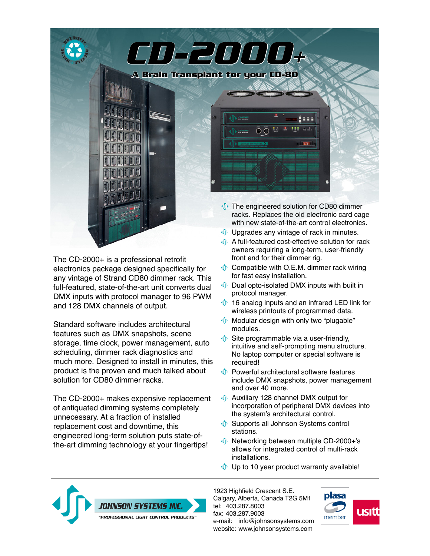

The CD-2000+ is a professional retrofit electronics package designed specifically for any vintage of Strand CD80 dimmer rack. This full-featured, state-of-the-art unit converts dual DMX inputs with protocol manager to 96 PWM and 128 DMX channels of output.

Standard software includes architectural features such as DMX snapshots, scene storage, time clock, power management, auto scheduling, dimmer rack diagnostics and much more. Designed to install in minutes, this product is the proven and much talked about solution for CD80 dimmer racks.

The CD-2000+ makes expensive replacement of antiquated dimming systems completely unnecessary. At a fraction of installed replacement cost and downtime, this engineered long-term solution puts state-ofthe-art dimming technology at your fingertips!

- owners requiring a long-term, user-friendly front end for their dimmer rig.
- $\Phi$  Compatible with O.E.M. dimmer rack wiring for fast easy installation.
- $\Phi$  Dual opto-isolated DMX inputs with built in protocol manager.
- $\oint$  16 analog inputs and an infrared LED link for wireless printouts of programmed data.
- **I** Modular design with only two "plugable" modules.
- $\Phi$  Site programmable via a user-friendly, intuitive and self-prompting menu structure. No laptop computer or special software is required!
- *I* Powerful architectural software features include DMX snapshots, power management and over 40 more.
- Auxiliary 128 channel DMX output for incorporation of peripheral DMX devices into the system's architectural control.
- **In** Supports all Johnson Systems control stations.
- Networking between multiple CD-2000+'s allows for integrated control of multi-rack installations.
- $\psi$  Up to 10 year product warranty available!



1923 Highfield Crescent S.E. Calgary, Alberta, Canada T2G 5M1 tel: 403.287.8003 fax: 403.287.9003 e-mail: [info@johnsonsystems.com](mailto:info@johnsonsystems.com) website: [www.johnsonsystems.com](http://www.johnsonsystems.com)